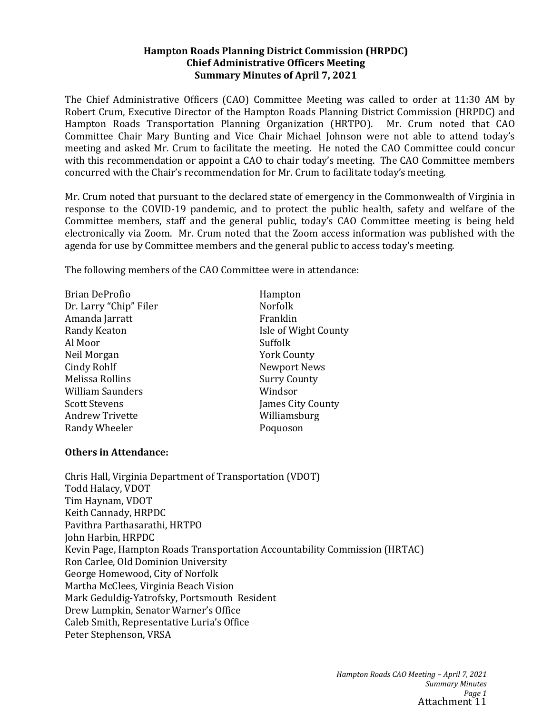#### **Hampton Roads Planning District Commission (HRPDC) Chief Administrative Officers Meeting Summary Minutes of April 7, 2021**

The Chief Administrative Officers (CAO) Committee Meeting was called to order at 11:30 AM by Robert Crum, Executive Director of the Hampton Roads Planning District Commission (HRPDC) and Hampton Roads Transportation Planning Organization (HRTPO). Mr. Crum noted that CAO Committee Chair Mary Bunting and Vice Chair Michael Johnson were not able to attend today's meeting and asked Mr. Crum to facilitate the meeting. He noted the CAO Committee could concur with this recommendation or appoint a CAO to chair today's meeting. The CAO Committee members concurred with the Chair's recommendation for Mr. Crum to facilitate today's meeting.

Mr. Crum noted that pursuant to the declared state of emergency in the Commonwealth of Virginia in response to the COVID-19 pandemic, and to protect the public health, safety and welfare of the Committee members, staff and the general public, today's CAO Committee meeting is being held electronically via Zoom. Mr. Crum noted that the Zoom access information was published with the agenda for use by Committee members and the general public to access today's meeting.

The following members of the CAO Committee were in attendance:

| Brian DeProfio         | Hampton              |
|------------------------|----------------------|
| Dr. Larry "Chip" Filer | <b>Norfolk</b>       |
| Amanda Jarratt         | Franklin             |
| Randy Keaton           | Isle of Wight County |
| Al Moor                | Suffolk              |
| Neil Morgan            | <b>York County</b>   |
| Cindy Rohlf            | <b>Newport News</b>  |
| Melissa Rollins        | <b>Surry County</b>  |
| William Saunders       | Windsor              |
| <b>Scott Stevens</b>   | James City County    |
| <b>Andrew Trivette</b> | Williamsburg         |
| Randy Wheeler          | Poquoson             |
|                        |                      |

#### **Others in Attendance:**

Chris Hall, Virginia Department of Transportation (VDOT) Todd Halacy, VDOT Tim Haynam, VDOT Keith Cannady, HRPDC Pavithra Parthasarathi, HRTPO John Harbin, HRPDC Kevin Page, Hampton Roads Transportation Accountability Commission (HRTAC) Ron Carlee, Old Dominion University George Homewood, City of Norfolk Martha McClees, Virginia Beach Vision Mark Geduldig-Yatrofsky, Portsmouth Resident Drew Lumpkin, Senator Warner's Office Caleb Smith, Representative Luria's Office Peter Stephenson, VRSA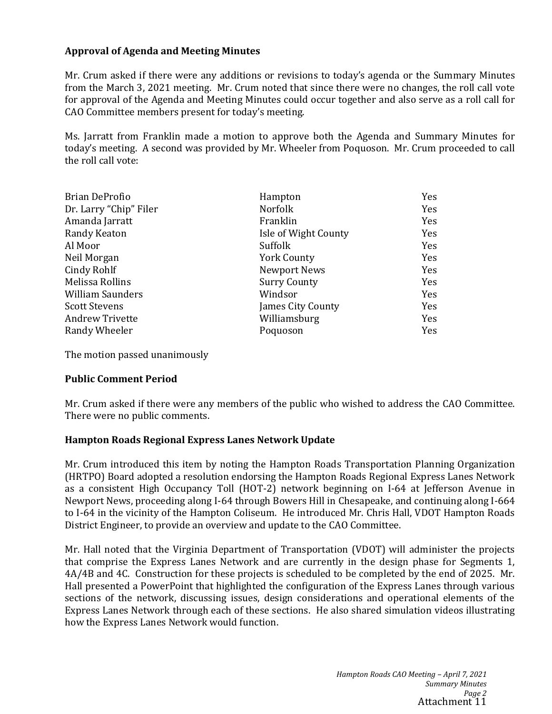## **Approval of Agenda and Meeting Minutes**

Mr. Crum asked if there were any additions or revisions to today's agenda or the Summary Minutes from the March 3, 2021 meeting. Mr. Crum noted that since there were no changes, the roll call vote for approval of the Agenda and Meeting Minutes could occur together and also serve as a roll call for CAO Committee members present for today's meeting.

Ms. Jarratt from Franklin made a motion to approve both the Agenda and Summary Minutes for today's meeting. A second was provided by Mr. Wheeler from Poquoson. Mr. Crum proceeded to call the roll call vote:

| <b>Brian DeProfio</b>   | Hampton              | Yes |
|-------------------------|----------------------|-----|
| Dr. Larry "Chip" Filer  | <b>Norfolk</b>       | Yes |
| Amanda Jarratt          | Franklin             | Yes |
| Randy Keaton            | Isle of Wight County | Yes |
| Al Moor                 | Suffolk              | Yes |
| Neil Morgan             | <b>York County</b>   | Yes |
| Cindy Rohlf             | Newport News         | Yes |
| Melissa Rollins         | <b>Surry County</b>  | Yes |
| <b>William Saunders</b> | Windsor              | Yes |
| <b>Scott Stevens</b>    | James City County    | Yes |
| <b>Andrew Trivette</b>  | Williamsburg         | Yes |
| Randy Wheeler           | Poquoson             | Yes |

The motion passed unanimously

#### **Public Comment Period**

Mr. Crum asked if there were any members of the public who wished to address the CAO Committee. There were no public comments.

#### **Hampton Roads Regional Express Lanes Network Update**

Mr. Crum introduced this item by noting the Hampton Roads Transportation Planning Organization (HRTPO) Board adopted a resolution endorsing the Hampton Roads Regional Express Lanes Network as a consistent High Occupancy Toll (HOT-2) network beginning on I-64 at Jefferson Avenue in Newport News, proceeding along I-64 through Bowers Hill in Chesapeake, and continuing along I-664 to I-64 in the vicinity of the Hampton Coliseum. He introduced Mr. Chris Hall, VDOT Hampton Roads District Engineer, to provide an overview and update to the CAO Committee.

Mr. Hall noted that the Virginia Department of Transportation (VDOT) will administer the projects that comprise the Express Lanes Network and are currently in the design phase for Segments 1, 4A/4B and 4C. Construction for these projects is scheduled to be completed by the end of 2025. Mr. Hall presented a PowerPoint that highlighted the configuration of the Express Lanes through various sections of the network, discussing issues, design considerations and operational elements of the Express Lanes Network through each of these sections. He also shared simulation videos illustrating how the Express Lanes Network would function.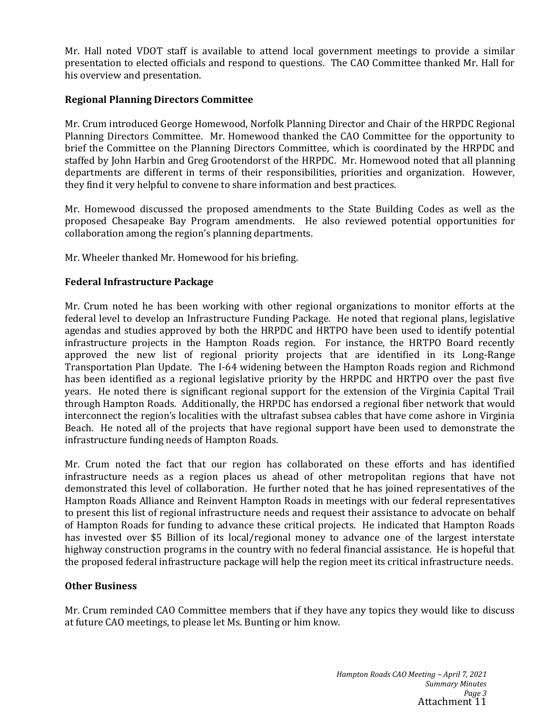Mr. Hall noted VDOT staff is available to attend local government meetings to provide a similar presentation to elected officials and respond to questions. The CAO Committee thanked Mr. Hall for his overview and presentation.

## **Regional Planning Directors Committee**

Mr. Crum introduced George Homewood, Norfolk Planning Director and Chair of the HRPDC Regional Planning Directors Committee. Mr. Homewood thanked the CAO Committee for the opportunity to brief the Committee on the Planning Directors Committee, which is coordinated by the HRPDC and staffed by John Harbin and Greg Grootendorst of the HRPDC. Mr. Homewood noted that all planning departments are different in terms of their responsibilities, priorities and organization. However, they find it very helpful to convene to share information and best practices.

Mr. Homewood discussed the proposed amendments to the State Building Codes as well as the proposed Chesapeake Bay Program amendments. He also reviewed potential opportunities for collaboration among the region's planning departments.

Mr. Wheeler thanked Mr. Homewood for his briefing.

## **Federal Infrastructure Package**

Mr. Crum noted he has been working with other regional organizations to monitor efforts at the federal level to develop an Infrastructure Funding Package. He noted that regional plans, legislative agendas and studies approved by both the HRPDC and HRTPO have been used to identify potential infrastructure projects in the Hampton Roads region. For instance, the HRTPO Board recently approved the new list of regional priority projects that are identified in its Long-Range Transportation Plan Update. The I-64 widening between the Hampton Roads region and Richmond has been identified as a regional legislative priority by the HRPDC and HRTPO over the past five years. He noted there is significant regional support for the extension of the Virginia Capital Trail through Hampton Roads. Additionally, the HRPDC has endorsed a regional fiber network that would interconnect the region's localities with the ultrafast subsea cables that have come ashore in Virginia Beach. He noted all of the projects that have regional support have been used to demonstrate the infrastructure funding needs of Hampton Roads.

Mr. Crum noted the fact that our region has collaborated on these efforts and has identified infrastructure needs as a region places us ahead of other metropolitan regions that have not demonstrated this level of collaboration. He further noted that he has joined representatives of the Hampton Roads Alliance and Reinvent Hampton Roads in meetings with our federal representatives to present this list of regional infrastructure needs and request their assistance to advocate on behalf of Hampton Roads for funding to advance these critical projects. He indicated that Hampton Roads has invested over \$5 Billion of its local/regional money to advance one of the largest interstate highway construction programs in the country with no federal financial assistance. He is hopeful that the proposed federal infrastructure package will help the region meet its critical infrastructure needs.

#### **Other Business**

Mr. Crum reminded CAO Committee members that if they have any topics they would like to discuss at future CAO meetings, to please let Ms. Bunting or him know.